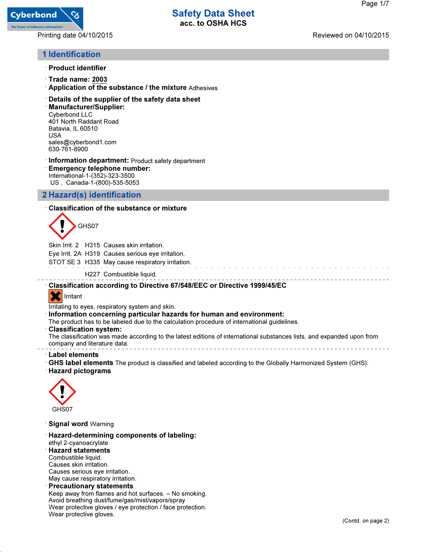

Printing date 04/10/2015 Reviewed on 04/10/2015

## 1 Identification

- · Product identifier
- · Trade name: 2003
- · Application of the substance / the mixture Adhesives
- · Details of the supplier of the safety data sheet
- · Manufacturer/Supplier: Cyberbond LLC 401 North Raddant Road Batavia, IL 60510 USA sales@cyberbond1.com 630-761-8900
- · Information department: Product safety department · Emergency telephone number: International-1-(352)-323-3500 US , Canada-1-(800)-535-5053

## 2 Hazard(s) identification

### · Classification of the substance or mixture



Skin Irrit. 2 H315 Causes skin irritation.

Eye Irrit. 2A H319 Causes serious eye irritation.

STOT SE 3 H335 May cause respiratory irritation.

H227 Combustible liquid.

· Classification according to Directive 67/548/EEC or Directive 1999/45/EC

## **X** Irritant

Irritating to eyes, respiratory system and skin.

- Information concerning particular hazards for human and environment:
- The product has to be labeled due to the calculation procedure of international guidelines.
- Classification system:

The classification was made according to the latest editions of international substances lists, and expanded upon from company and literature data.

#### · Label elements

· GHS label elements The product is classified and labeled according to the Globally Harmonized System (GHS).

· Hazard pictograms



· Signal word Warning

· Hazard-determining components of labeling: ethyl 2-cyanoacrylate · Hazard statements Combustible liquid. Causes skin irritation. Causes serious eye irritation. May cause respiratory irritation. **Precautionary statements** Keep away from flames and hot surfaces. – No smoking. Avoid breathing dust/fume/gas/mist/vapors/spray Wear protective gloves / eye protection / face protection.

Wear protective gloves.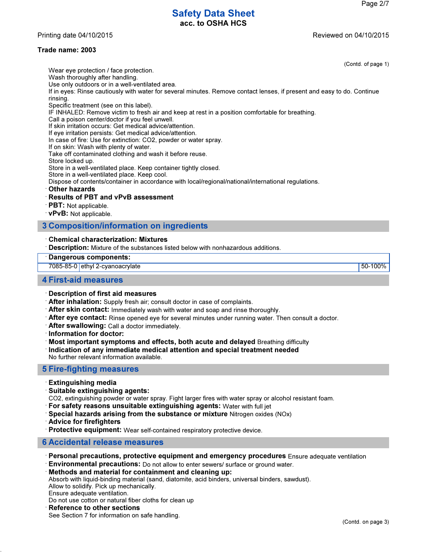Printing date 04/10/2015 **Reviewed on 04/10/2015** 

Wear eye protection / face protection.

### Trade name: 2003

(Contd. of page 1)

Wash thoroughly after handling. Use only outdoors or in a well-ventilated area. If in eyes: Rinse cautiously with water for several minutes. Remove contact lenses, if present and easy to do. Continue rinsing. Specific treatment (see on this label). IF INHALED: Remove victim to fresh air and keep at rest in a position comfortable for breathing. Call a poison center/doctor if you feel unwell. If skin irritation occurs: Get medical advice/attention. If eye irritation persists: Get medical advice/attention. In case of fire: Use for extinction: CO2, powder or water spray. If on skin: Wash with plenty of water. Take off contaminated clothing and wash it before reuse. Store locked up. Store in a well-ventilated place. Keep container tightly closed. Store in a well-ventilated place. Keep cool. Dispose of contents/container in accordance with local/regional/national/international regulations. **Other hazards** · Results of PBT and vPvB assessment · PBT: Not applicable. · vPvB: Not applicable. 3 Composition/information on ingredients

#### · Chemical characterization: Mixtures

· Description: Mixture of the substances listed below with nonhazardous additions.

#### Dangerous components:

7085-85-0 ethyl 2-cyanoacrylate 50-100%

#### 4 First-aid measures

#### · Description of first aid measures

- · After inhalation: Supply fresh air; consult doctor in case of complaints.
- · After skin contact: Immediately wash with water and soap and rinse thoroughly.
- · After eye contact: Rinse opened eye for several minutes under running water. Then consult a doctor.
- · After swallowing: Call a doctor immediately.
- · Information for doctor:
- · Most important symptoms and effects, both acute and delayed Breathing difficulty
- · Indication of any immediate medical attention and special treatment needed No further relevant information available.

### 5 Fire-fighting measures

- · Extinguishing media
- · Suitable extinguishing agents:
- CO2, extinguishing powder or water spray. Fight larger fires with water spray or alcohol resistant foam.
- · For safety reasons unsuitable extinguishing agents: Water with full jet
- $\cdot$  Special hazards arising from the substance or mixture Nitrogen oxides (NOx)
- · Advice for firefighters
- · Protective equipment: Wear self-contained respiratory protective device.

#### 6 Accidental release measures

- · Personal precautions, protective equipment and emergency procedures Ensure adequate ventilation
- · Environmental precautions: Do not allow to enter sewers/ surface or ground water.

#### · Methods and material for containment and cleaning up:

Absorb with liquid-binding material (sand, diatomite, acid binders, universal binders, sawdust).

Allow to solidify. Pick up mechanically. Ensure adequate ventilation.

Do not use cotton or natural fiber cloths for clean up

#### **Reference to other sections**

See Section 7 for information on safe handling.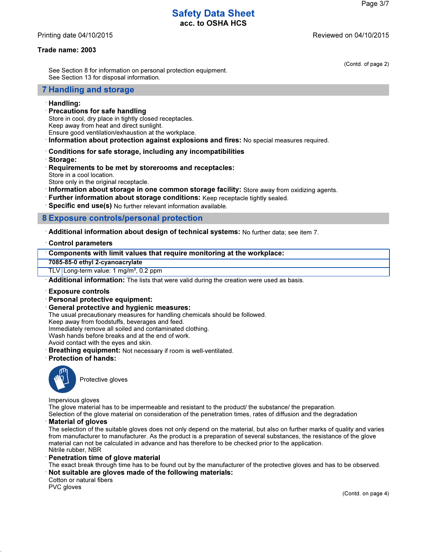Printing date 04/10/2015 **Reviewed on 04/10/2015** 

#### Trade name: 2003

(Contd. of page 2)

See Section 8 for information on personal protection equipment. See Section 13 for disposal information.

#### 7 Handling and storage

#### · Handling:

#### · Precautions for safe handling

- Store in cool, dry place in tightly closed receptacles.
- Keep away from heat and direct sunlight.
- Ensure good ventilation/exhaustion at the workplace.
- · Information about protection against explosions and fires: No special measures required.
- · Conditions for safe storage, including any incompatibilities
- · Storage:
- · Requirements to be met by storerooms and receptacles:
- Store in a cool location.
- Store only in the original receptacle.
- · Information about storage in one common storage facility: Store away from oxidizing agents.
- · Further information about storage conditions: Keep receptacle tightly sealed.
- · Specific end use(s) No further relevant information available.

#### 8 Exposure controls/personal protection

· Additional information about design of technical systems: No further data; see item 7.

#### · Control parameters

#### · Components with limit values that require monitoring at the workplace:

7085-85-0 ethyl 2-cyanoacrylate

TLV Long-term value: 1 mg/m<sup>3</sup>, 0.2 ppm

Additional information: The lists that were valid during the creation were used as basis.

#### · Exposure controls

- · Personal protective equipment:
- · General protective and hygienic measures:

The usual precautionary measures for handling chemicals should be followed.

Keep away from foodstuffs, beverages and feed.

Immediately remove all soiled and contaminated clothing.

Wash hands before breaks and at the end of work.

Avoid contact with the eyes and skin.

· Breathing equipment: Not necessary if room is well-ventilated.

· Protection of hands:



Protective gloves

Impervious gloves

The glove material has to be impermeable and resistant to the product/ the substance/ the preparation.

Selection of the glove material on consideration of the penetration times, rates of diffusion and the degradation

#### **Material of gloves**

The selection of the suitable gloves does not only depend on the material, but also on further marks of quality and varies from manufacturer to manufacturer. As the product is a preparation of several substances, the resistance of the glove material can not be calculated in advance and has therefore to be checked prior to the application. Nitrile rubber, NBR

#### Penetration time of glove material

The exact break through time has to be found out by the manufacturer of the protective gloves and has to be observed. · Not suitable are gloves made of the following materials:

Cotton or natural fibers

PVC gloves

(Contd. on page 4)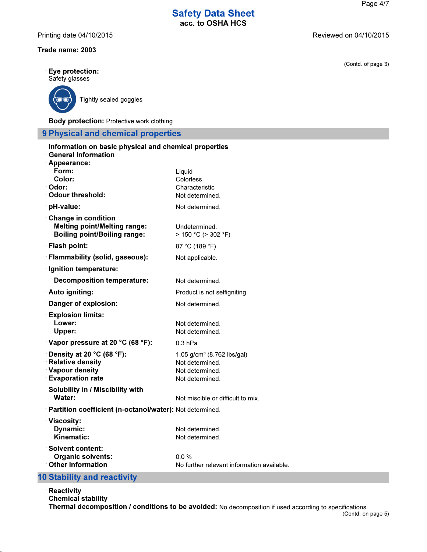Printing date 04/10/2015 **Printing date 04/10/2015** 

### Trade name: 2003

| Eye protection:<br>Safety glasses                                                                                |                                                                                                 |
|------------------------------------------------------------------------------------------------------------------|-------------------------------------------------------------------------------------------------|
| Tightly sealed goggles                                                                                           |                                                                                                 |
| <b>Body protection: Protective work clothing</b>                                                                 |                                                                                                 |
| <b>9 Physical and chemical properties</b>                                                                        |                                                                                                 |
| Information on basic physical and chemical properties<br><b>General Information</b><br>Appearance:               |                                                                                                 |
| Form:<br>Color:<br>· Odor:                                                                                       | Liquid<br>Colorless                                                                             |
| Odour threshold:                                                                                                 | Characteristic<br>Not determined.                                                               |
| · pH-value:                                                                                                      | Not determined.                                                                                 |
| <b>Change in condition</b><br><b>Melting point/Melting range:</b><br><b>Boiling point/Boiling range:</b>         | Undetermined<br>> 150 °C (> 302 °F)                                                             |
| · Flash point:                                                                                                   | 87 °C (189 °F)                                                                                  |
| · Flammability (solid, gaseous):                                                                                 | Not applicable.                                                                                 |
| · Ignition temperature:                                                                                          |                                                                                                 |
| <b>Decomposition temperature:</b>                                                                                | Not determined.                                                                                 |
| <b>∴Auto igniting:</b>                                                                                           | Product is not selfigniting.                                                                    |
| Danger of explosion:                                                                                             | Not determined.                                                                                 |
| <b>Explosion limits:</b><br>Lower:<br><b>Upper:</b>                                                              | Not determined.<br>Not determined.                                                              |
| Vapor pressure at 20 °C (68 °F):                                                                                 | $0.3$ hPa                                                                                       |
| $\cdot$ Density at 20 °C (68 °F):<br><b>Relative density</b><br><b>Vapour density</b><br><b>Evaporation rate</b> | 1.05 g/cm <sup>3</sup> (8.762 lbs/gal)<br>Not determined.<br>Not determined.<br>Not determined. |
| Solubility in / Miscibility with<br>Water:                                                                       | Not miscible or difficult to mix.                                                               |
| Partition coefficient (n-octanol/water): Not determined.                                                         |                                                                                                 |
| <b>Viscosity:</b><br>Dynamic:<br>Kinematic:                                                                      | Not determined.<br>Not determined.                                                              |
| <b>Solvent content:</b><br><b>Organic solvents:</b><br>Other information                                         | 0.0%<br>No further relevant information available.                                              |

# 10 Stability and reactivity

- · Reactivity
- · Chemical stability

· Thermal decomposition / conditions to be avoided: No decomposition if used according to specifications. (Contd. on page 5)

(Contd. of page 3)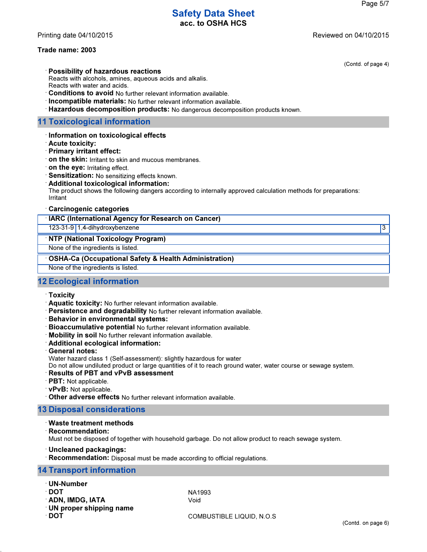Printing date 04/10/2015 Reviewed on 04/10/2015

### Trade name: 2003

(Contd. of page 4)

· Possibility of hazardous reactions

Reacts with alcohols, amines, aqueous acids and alkalis. Reacts with water and acids.

· Conditions to avoid No further relevant information available.

· Incompatible materials: No further relevant information available.

· Hazardous decomposition products: No dangerous decomposition products known.

### 11 Toxicological information

- · Information on toxicological effects
- · Acute toxicity:
- · Primary irritant effect:
- · on the skin: Irritant to skin and mucous membranes.
- · on the eye: Irritating effect.
- · Sensitization: No sensitizing effects known.
- · Additional toxicological information:

The product shows the following dangers according to internally approved calculation methods for preparations: Irritant

#### · Carcinogenic categories

| <b>IARC (International Agency for Research on Cancer)</b> |  |
|-----------------------------------------------------------|--|
| 123-31-9 1,4-dihydroxybenzene                             |  |
| <b>NTP (National Toxicology Program)</b>                  |  |
| None of the ingredients is listed.                        |  |
| • OSHA-Ca (Occupational Safety & Health Administration)   |  |
|                                                           |  |

None of the ingredients is listed.

### 12 Ecological information

- · Toxicity
- · Aquatic toxicity: No further relevant information available.
- · Persistence and degradability No further relevant information available.
- · Behavior in environmental systems:
- · Bioaccumulative potential No further relevant information available.
- · Mobility in soil No further relevant information available.
- · Additional ecological information:
- · General notes:
- Water hazard class 1 (Self-assessment): slightly hazardous for water

Do not allow undiluted product or large quantities of it to reach ground water, water course or sewage system.

- · Results of PBT and vPvB assessment
- · PBT: Not applicable.
- · vPvB: Not applicable.
- · Other adverse effects No further relevant information available.

### 13 Disposal considerations

- · Waste treatment methods
- · Recommendation:

Must not be disposed of together with household garbage. Do not allow product to reach sewage system.

· Uncleaned packagings:

· Recommendation: Disposal must be made according to official regulations.

#### 14 Transport information

- · UN-Number
- · DOT NA1993
- · ADN, IMDG, IATA Void
- · UN proper shipping name
- 

· DOT COMBUSTIBLE LIQUID, N.O.S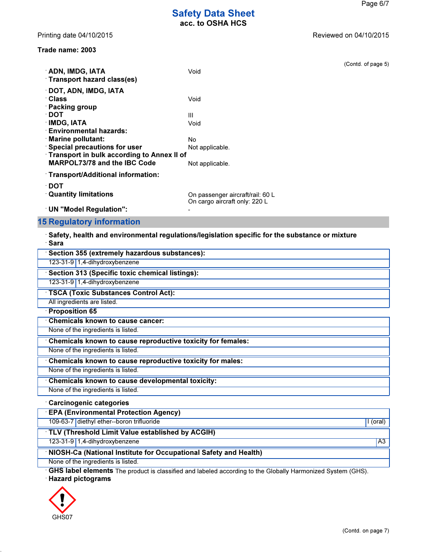Printing date 04/10/2015 **Reviewed on 04/10/2015** 

| <b>ADN, IMDG, IATA</b><br>Transport hazard class(es) | Void                                                              | (Contd. of page 5) |
|------------------------------------------------------|-------------------------------------------------------------------|--------------------|
| <b>DOT, ADN, IMDG, IATA</b>                          |                                                                   |                    |
| ∴Class                                               | Void                                                              |                    |
| $\cdot$ Packing group                                |                                                                   |                    |
| ∙ DOT                                                | Ш                                                                 |                    |
| <b>IMDG, IATA</b>                                    | Void                                                              |                    |
| <b>Environmental hazards:</b>                        |                                                                   |                    |
| $\cdot$ Marine pollutant:                            | No.                                                               |                    |
| <b>Special precautions for user</b>                  | Not applicable.                                                   |                    |
| <b>Transport in bulk according to Annex II of</b>    |                                                                   |                    |
| <b>MARPOL73/78 and the IBC Code</b>                  | Not applicable.                                                   |                    |
| · Transport/Additional information:                  |                                                                   |                    |
| ∸DOT                                                 |                                                                   |                    |
| <b>Quantity limitations</b>                          | On passenger aircraft/rail: 60 L<br>On cargo aircraft only: 220 L |                    |
| UN "Model Regulation":                               |                                                                   |                    |
|                                                      |                                                                   |                    |

15 Regulatory information · Safety, health and environmental regulations/legislation specific for the substance or mixture

| <b>Sara</b>                                                 |
|-------------------------------------------------------------|
| Section 355 (extremely hazardous substances):               |
| 123-31-9 1,4-dihydroxybenzene                               |
| Section 313 (Specific toxic chemical listings):             |
| 123-31-9 1,4-dihydroxybenzene                               |
| TSCA (Toxic Substances Control Act):                        |
| All ingredients are listed.                                 |
| <b>Proposition 65</b>                                       |
| <b>Chemicals known to cause cancer:</b>                     |
| None of the ingredients is listed.                          |
| Chemicals known to cause reproductive toxicity for females: |
| None of the ingredients is listed.                          |
| Chemicals known to cause reproductive toxicity for males:   |
| None of the ingredients is listed.                          |
| Chemicals known to cause developmental toxicity:            |
| None of the ingredients is listed.                          |
| <b>Carcinogenic categories</b>                              |
| <b>EPA (Environmental Protection Agency)</b>                |

109-63-7 diethyl ether--boron trifluoride I (oral) and the state of the state of the state I (oral)

### · TLV (Threshold Limit Value established by ACGIH)

123-31-9 1,4-dihydroxybenzene A3

## · NIOSH-Ca (National Institute for Occupational Safety and Health)

None of the ingredients is listed.

· GHS label elements The product is classified and labeled according to the Globally Harmonized System (GHS).

· Hazard pictograms